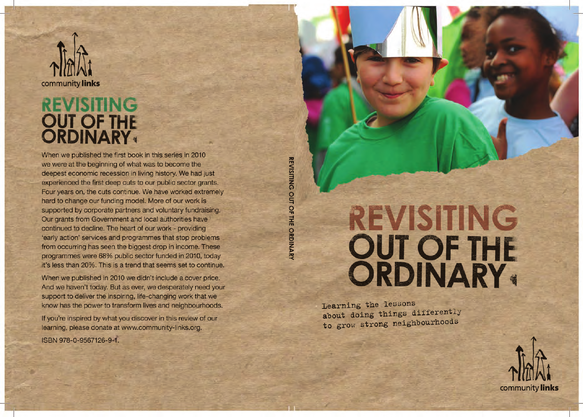# **REVISITING OUT OF THE ORDINARY**

Learning the lessons about doing things differently to grow strong neighbourhoods

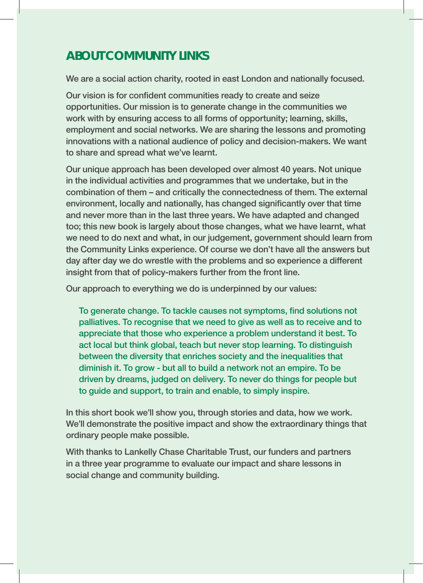### **ABOUT COMMUNITY LINKS**

We are a social action charity, rooted in east London and nationally focused.

Our vision is for confident communities ready to create and seize opportunities. Our mission is to generate change in the communities we work with by ensuring access to all forms of opportunity; learning, skills, employment and social networks. We are sharing the lessons and promoting innovations with a national audience of policy and decision-makers. We want to share and spread what we've learnt.

Our unique approach has been developed over almost 40 years. Not unique in the individual activities and programmes that we undertake, but in the combination of them – and critically the connectedness of them. The external environment, locally and nationally, has changed significantly over that time and never more than in the last three years. We have adapted and changed too; this new book is largely about those changes, what we have learnt, what we need to do next and what, in our judgement, government should learn from the Community Links experience. Of course we don't have all the answers but day after day we do wrestle with the problems and so experience a different insight from that of policy-makers further from the front line.

Our approach to everything we do is underpinned by our values:

To generate change. To tackle causes not symptoms, find solutions not palliatives. To recognise that we need to give as well as to receive and to appreciate that those who experience a problem understand it best. To act local but think global, teach but never stop learning. To distinguish between the diversity that enriches society and the inequalities that diminish it. To grow - but all to build a network not an empire. To be driven by dreams, judged on delivery. To never do things for people but to guide and support, to train and enable, to simply inspire.

In this short book we'll show you, through stories and data, how we work. We'll demonstrate the positive impact and show the extraordinary things that ordinary people make possible.

With thanks to Lankelly Chase Charitable Trust, our funders and partners in a three year programme to evaluate our impact and share lessons in social change and community building.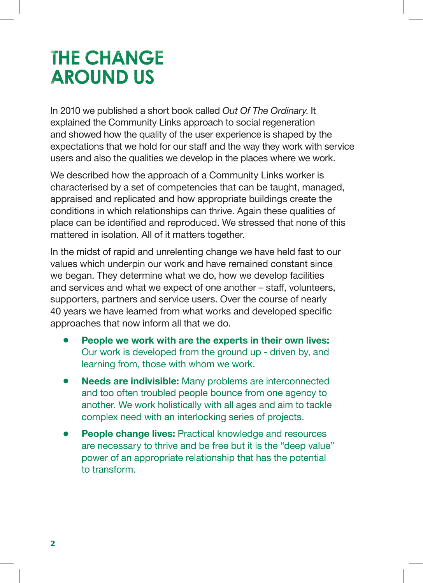## **THE CHANGE AROUND US**

In 2010 we published a short book called *Out Of The Ordinary*. It explained the Community Links approach to social regeneration and showed how the quality of the user experience is shaped by the expectations that we hold for our staff and the way they work with service users and also the qualities we develop in the places where we work.

We described how the approach of a Community Links worker is characterised by a set of competencies that can be taught, managed, appraised and replicated and how appropriate buildings create the conditions in which relationships can thrive. Again these qualities of place can be identified and reproduced. We stressed that none of this mattered in isolation. All of it matters together.

In the midst of rapid and unrelenting change we have held fast to our values which underpin our work and have remained constant since we began. They determine what we do, how we develop facilities and services and what we expect of one another – staff, volunteers, supporters, partners and service users. Over the course of nearly 40 years we have learned from what works and developed specific approaches that now inform all that we do.

- People we work with are the experts in their own lives: Our work is developed from the ground up - driven by, and learning from, those with whom we work.
- **Needs are indivisible:** Many problems are interconnected and too often troubled people bounce from one agency to another. We work holistically with all ages and aim to tackle complex need with an interlocking series of projects.
- **People change lives: Practical knowledge and resources** are necessary to thrive and be free but it is the "deep value" power of an appropriate relationship that has the potential to transform.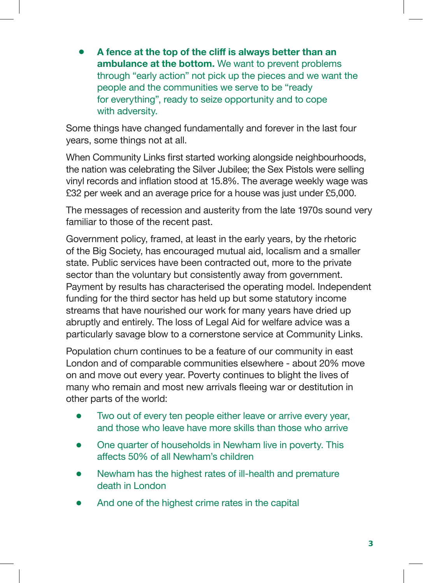<sup>l</sup> **A fence at the top of the cliff is always better than an ambulance at the bottom.** We want to prevent problems through "early action" not pick up the pieces and we want the people and the communities we serve to be "ready for everything", ready to seize opportunity and to cope with adversity.

Some things have changed fundamentally and forever in the last four years, some things not at all.

When Community Links first started working alongside neighbourhoods, the nation was celebrating the Silver Jubilee; the Sex Pistols were selling vinyl records and inflation stood at 15.8%. The average weekly wage was £32 per week and an average price for a house was just under £5,000.

The messages of recession and austerity from the late 1970s sound very familiar to those of the recent past.

Government policy, framed, at least in the early years, by the rhetoric of the Big Society, has encouraged mutual aid, localism and a smaller state. Public services have been contracted out, more to the private sector than the voluntary but consistently away from government. Payment by results has characterised the operating model. Independent funding for the third sector has held up but some statutory income streams that have nourished our work for many years have dried up abruptly and entirely. The loss of Legal Aid for welfare advice was a particularly savage blow to a cornerstone service at Community Links.

Population churn continues to be a feature of our community in east London and of comparable communities elsewhere - about 20% move on and move out every year. Poverty continues to blight the lives of many who remain and most new arrivals fleeing war or destitution in other parts of the world:

- Two out of every ten people either leave or arrive every year, and those who leave have more skills than those who arrive
- $\bullet$  One quarter of households in Newham live in poverty. This affects 50% of all Newham's children
- Newham has the highest rates of ill-health and premature death in London
- And one of the highest crime rates in the capital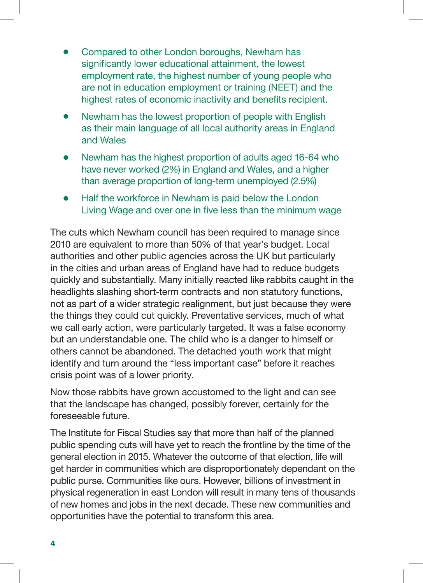- Compared to other London boroughs, Newham has significantly lower educational attainment, the lowest employment rate, the highest number of young people who are not in education employment or training (NEET) and the highest rates of economic inactivity and benefits recipient.
- Newham has the lowest proportion of people with English as their main language of all local authority areas in England and Wales
- <sup>l</sup> Newham has the highest proportion of adults aged 16-64 who have never worked (2%) in England and Wales, and a higher than average proportion of long-term unemployed (2.5%)
- Half the workforce in Newham is paid below the London Living Wage and over one in five less than the minimum wage

The cuts which Newham council has been required to manage since 2010 are equivalent to more than 50% of that year's budget. Local authorities and other public agencies across the UK but particularly in the cities and urban areas of England have had to reduce budgets quickly and substantially. Many initially reacted like rabbits caught in the headlights slashing short-term contracts and non statutory functions, not as part of a wider strategic realignment, but just because they were the things they could cut quickly. Preventative services, much of what we call early action, were particularly targeted. It was a false economy but an understandable one. The child who is a danger to himself or others cannot be abandoned. The detached youth work that might identify and turn around the "less important case" before it reaches crisis point was of a lower priority.

Now those rabbits have grown accustomed to the light and can see that the landscape has changed, possibly forever, certainly for the foreseeable future.

The Institute for Fiscal Studies say that more than half of the planned public spending cuts will have yet to reach the frontline by the time of the general election in 2015. Whatever the outcome of that election, life will get harder in communities which are disproportionately dependant on the public purse. Communities like ours. However, billions of investment in physical regeneration in east London will result in many tens of thousands of new homes and jobs in the next decade. These new communities and opportunities have the potential to transform this area.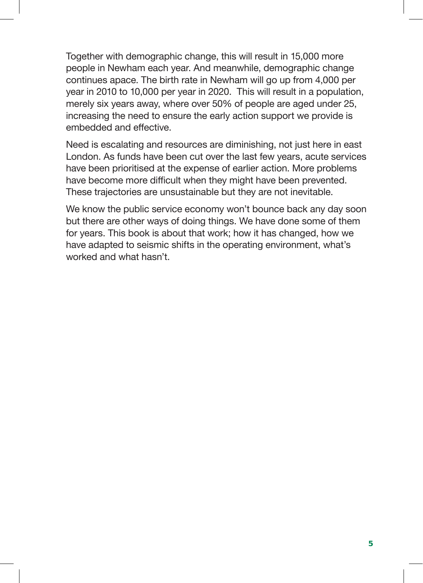Together with demographic change, this will result in 15,000 more people in Newham each year. And meanwhile, demographic change continues apace. The birth rate in Newham will go up from 4,000 per year in 2010 to 10,000 per year in 2020. This will result in a population, merely six years away, where over 50% of people are aged under 25, increasing the need to ensure the early action support we provide is embedded and effective.

Need is escalating and resources are diminishing, not just here in east London. As funds have been cut over the last few years, acute services have been prioritised at the expense of earlier action. More problems have become more difficult when they might have been prevented. These trajectories are unsustainable but they are not inevitable.

We know the public service economy won't bounce back any day soon but there are other ways of doing things. We have done some of them for years. This book is about that work; how it has changed, how we have adapted to seismic shifts in the operating environment, what's worked and what hasn't.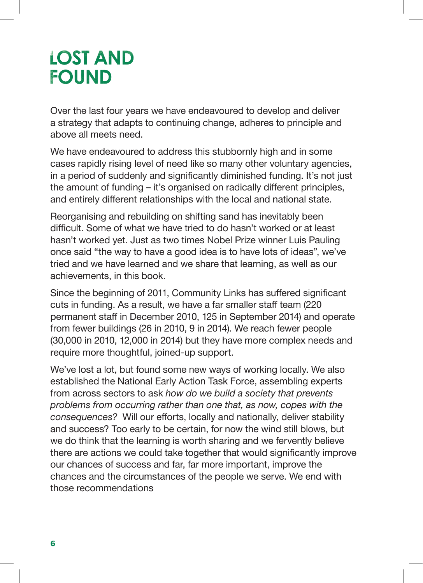## **LOST AND FOUND**

Over the last four years we have endeavoured to develop and deliver a strategy that adapts to continuing change, adheres to principle and above all meets need.

We have endeavoured to address this stubbornly high and in some cases rapidly rising level of need like so many other voluntary agencies, in a period of suddenly and significantly diminished funding. It's not just the amount of funding – it's organised on radically different principles, and entirely different relationships with the local and national state.

Reorganising and rebuilding on shifting sand has inevitably been difficult. Some of what we have tried to do hasn't worked or at least hasn't worked yet. Just as two times Nobel Prize winner Luis Pauling once said "the way to have a good idea is to have lots of ideas", we've tried and we have learned and we share that learning, as well as our achievements, in this book.

Since the beginning of 2011, Community Links has suffered significant cuts in funding. As a result, we have a far smaller staff team (220 permanent staff in December 2010, 125 in September 2014) and operate from fewer buildings (26 in 2010, 9 in 2014). We reach fewer people (30,000 in 2010, 12,000 in 2014) but they have more complex needs and require more thoughtful, joined-up support.

We've lost a lot, but found some new ways of working locally. We also established the National Early Action Task Force, assembling experts from across sectors to ask *how do we build a society that prevents problems from occurring rather than one that, as now, copes with the consequences?* Will our efforts, locally and nationally, deliver stability and success? Too early to be certain, for now the wind still blows, but we do think that the learning is worth sharing and we fervently believe there are actions we could take together that would significantly improve our chances of success and far, far more important, improve the chances and the circumstances of the people we serve. We end with those recommendations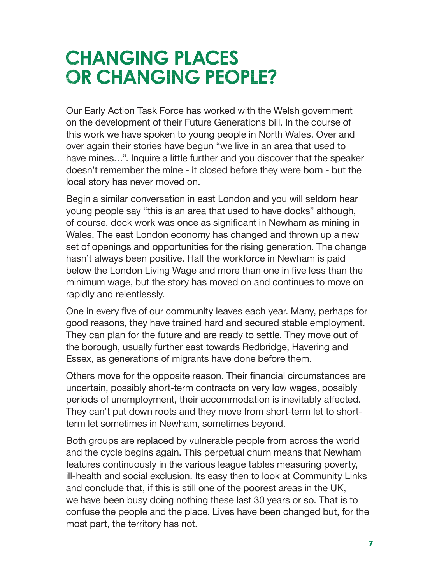## **CHANGING PLACES OR CHANGING PEOPLE?**

Our Early Action Task Force has worked with the Welsh government on the development of their Future Generations bill. In the course of this work we have spoken to young people in North Wales. Over and over again their stories have begun "we live in an area that used to have mines…". Inquire a little further and you discover that the speaker doesn't remember the mine - it closed before they were born - but the local story has never moved on.

Begin a similar conversation in east London and you will seldom hear young people say "this is an area that used to have docks" although, of course, dock work was once as significant in Newham as mining in Wales. The east London economy has changed and thrown up a new set of openings and opportunities for the rising generation. The change hasn't always been positive. Half the workforce in Newham is paid below the London Living Wage and more than one in five less than the minimum wage, but the story has moved on and continues to move on rapidly and relentlessly.

One in every five of our community leaves each year. Many, perhaps for good reasons, they have trained hard and secured stable employment. They can plan for the future and are ready to settle. They move out of the borough, usually further east towards Redbridge, Havering and Essex, as generations of migrants have done before them.

Others move for the opposite reason. Their financial circumstances are uncertain, possibly short-term contracts on very low wages, possibly periods of unemployment, their accommodation is inevitably affected. They can't put down roots and they move from short-term let to shortterm let sometimes in Newham, sometimes beyond.

Both groups are replaced by vulnerable people from across the world and the cycle begins again. This perpetual churn means that Newham features continuously in the various league tables measuring poverty, ill-health and social exclusion. Its easy then to look at Community Links and conclude that, if this is still one of the poorest areas in the UK, we have been busy doing nothing these last 30 years or so. That is to confuse the people and the place. Lives have been changed but, for the most part, the territory has not.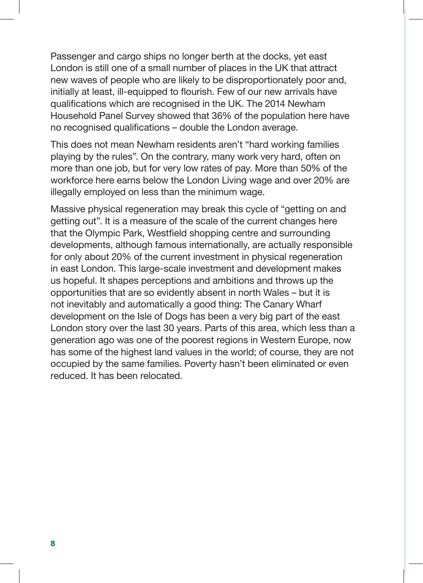Passenger and cargo ships no longer berth at the docks, yet east London is still one of a small number of places in the UK that attract new waves of people who are likely to be disproportionately poor and, initially at least, ill-equipped to flourish. Few of our new arrivals have qualifications which are recognised in the UK. The 2014 Newham Household Panel Survey showed that 36% of the population here have no recognised qualifications – double the London average.

This does not mean Newham residents aren't "hard working families playing by the rules". On the contrary, many work very hard, often on more than one job, but for very low rates of pay. More than 50% of the workforce here earns below the London Living wage and over 20% are illegally employed on less than the minimum wage.

Massive physical regeneration may break this cycle of "getting on and getting out". It is a measure of the scale of the current changes here that the Olympic Park, Westfield shopping centre and surrounding developments, although famous internationally, are actually responsible for only about 20% of the current investment in physical regeneration in east London. This large-scale investment and development makes us hopeful. It shapes perceptions and ambitions and throws up the opportunities that are so evidently absent in north Wales – but it is not inevitably and automatically a good thing: The Canary Wharf development on the Isle of Dogs has been a very big part of the east London story over the last 30 years. Parts of this area, which less than a generation ago was one of the poorest regions in Western Europe, now has some of the highest land values in the world; of course, they are not occupied by the same families. Poverty hasn't been eliminated or even reduced. It has been relocated.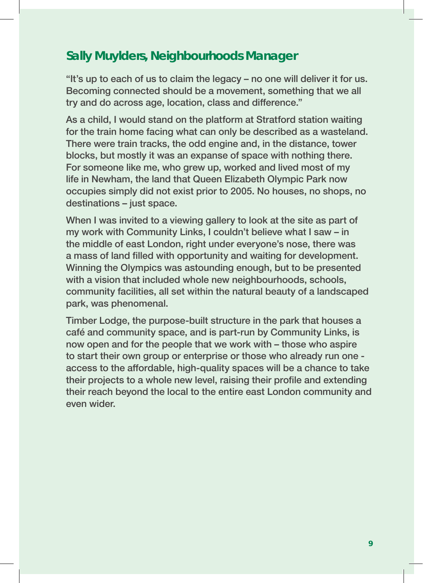### **Sally Muylders, Neighbourhoods Manager**

"It's up to each of us to claim the legacy – no one will deliver it for us. Becoming connected should be a movement, something that we all try and do across age, location, class and difference."

As a child, I would stand on the platform at Stratford station waiting for the train home facing what can only be described as a wasteland. There were train tracks, the odd engine and, in the distance, tower blocks, but mostly it was an expanse of space with nothing there. For someone like me, who grew up, worked and lived most of my life in Newham, the land that Queen Elizabeth Olympic Park now occupies simply did not exist prior to 2005. No houses, no shops, no destinations – just space.

When I was invited to a viewing gallery to look at the site as part of my work with Community Links, I couldn't believe what I saw – in the middle of east London, right under everyone's nose, there was a mass of land filled with opportunity and waiting for development. Winning the Olympics was astounding enough, but to be presented with a vision that included whole new neighbourhoods, schools, community facilities, all set within the natural beauty of a landscaped park, was phenomenal.

Timber Lodge, the purpose-built structure in the park that houses a café and community space, and is part-run by Community Links, is now open and for the people that we work with – those who aspire to start their own group or enterprise or those who already run one access to the affordable, high-quality spaces will be a chance to take their projects to a whole new level, raising their profile and extending their reach beyond the local to the entire east London community and even wider.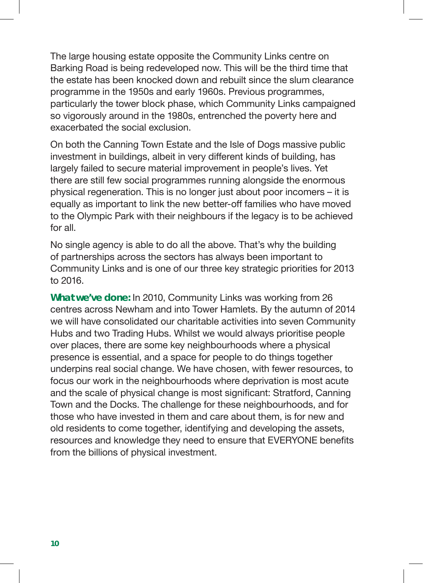The large housing estate opposite the Community Links centre on Barking Road is being redeveloped now. This will be the third time that the estate has been knocked down and rebuilt since the slum clearance programme in the 1950s and early 1960s. Previous programmes, particularly the tower block phase, which Community Links campaigned so vigorously around in the 1980s, entrenched the poverty here and exacerbated the social exclusion.

On both the Canning Town Estate and the Isle of Dogs massive public investment in buildings, albeit in very different kinds of building, has largely failed to secure material improvement in people's lives. Yet there are still few social programmes running alongside the enormous physical regeneration. This is no longer just about poor incomers – it is equally as important to link the new better-off families who have moved to the Olympic Park with their neighbours if the legacy is to be achieved for all.

No single agency is able to do all the above. That's why the building of partnerships across the sectors has always been important to Community Links and is one of our three key strategic priorities for 2013 to 2016.

**What we've done:** In 2010, Community Links was working from 26 centres across Newham and into Tower Hamlets. By the autumn of 2014 we will have consolidated our charitable activities into seven Community Hubs and two Trading Hubs. Whilst we would always prioritise people over places, there are some key neighbourhoods where a physical presence is essential, and a space for people to do things together underpins real social change. We have chosen, with fewer resources, to focus our work in the neighbourhoods where deprivation is most acute and the scale of physical change is most significant: Stratford, Canning Town and the Docks. The challenge for these neighbourhoods, and for those who have invested in them and care about them, is for new and old residents to come together, identifying and developing the assets, resources and knowledge they need to ensure that EVERYONE benefits from the billions of physical investment.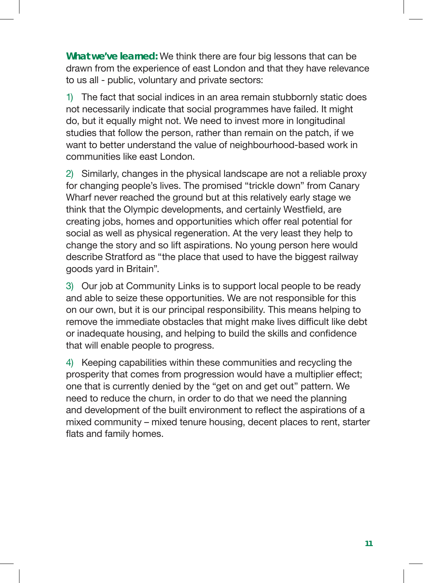**What we've learned:** We think there are four big lessons that can be drawn from the experience of east London and that they have relevance to us all - public, voluntary and private sectors:

1) The fact that social indices in an area remain stubbornly static does not necessarily indicate that social programmes have failed. It might do, but it equally might not. We need to invest more in longitudinal studies that follow the person, rather than remain on the patch, if we want to better understand the value of neighbourhood-based work in communities like east London.

2) Similarly, changes in the physical landscape are not a reliable proxy for changing people's lives. The promised "trickle down" from Canary Wharf never reached the ground but at this relatively early stage we think that the Olympic developments, and certainly Westfield, are creating jobs, homes and opportunities which offer real potential for social as well as physical regeneration. At the very least they help to change the story and so lift aspirations. No young person here would describe Stratford as "the place that used to have the biggest railway goods yard in Britain".

3) Our job at Community Links is to support local people to be ready and able to seize these opportunities. We are not responsible for this on our own, but it is our principal responsibility. This means helping to remove the immediate obstacles that might make lives difficult like debt or inadequate housing, and helping to build the skills and confidence that will enable people to progress.

4) Keeping capabilities within these communities and recycling the prosperity that comes from progression would have a multiplier effect; one that is currently denied by the "get on and get out" pattern. We need to reduce the churn, in order to do that we need the planning and development of the built environment to reflect the aspirations of a mixed community – mixed tenure housing, decent places to rent, starter flats and family homes.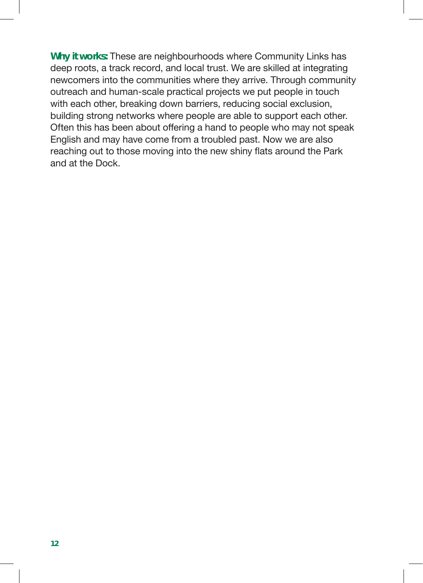**Why it works:** These are neighbourhoods where Community Links has deep roots, a track record, and local trust. We are skilled at integrating newcomers into the communities where they arrive. Through community outreach and human-scale practical projects we put people in touch with each other, breaking down barriers, reducing social exclusion, building strong networks where people are able to support each other. Often this has been about offering a hand to people who may not speak English and may have come from a troubled past. Now we are also reaching out to those moving into the new shiny flats around the Park and at the Dock.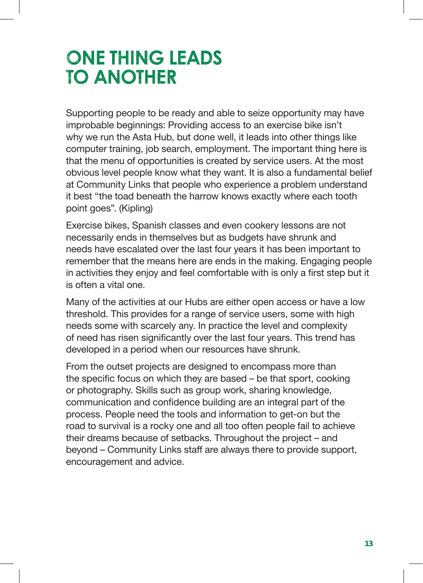## **ONE THING LEADS TO ANOTHER**

Supporting people to be ready and able to seize opportunity may have improbable beginnings: Providing access to an exercise bike isn't why we run the Asta Hub, but done well, it leads into other things like computer training, job search, employment. The important thing here is that the menu of opportunities is created by service users. At the most obvious level people know what they want. It is also a fundamental belief at Community Links that people who experience a problem understand it best "the toad beneath the harrow knows exactly where each tooth point goes". (Kipling)

Exercise bikes, Spanish classes and even cookery lessons are not necessarily ends in themselves but as budgets have shrunk and needs have escalated over the last four years it has been important to remember that the means here are ends in the making. Engaging people in activities they enjoy and feel comfortable with is only a first step but it is often a vital one.

Many of the activities at our Hubs are either open access or have a low threshold. This provides for a range of service users, some with high needs some with scarcely any. In practice the level and complexity of need has risen significantly over the last four years. This trend has developed in a period when our resources have shrunk.

From the outset projects are designed to encompass more than the specific focus on which they are based – be that sport, cooking or photography. Skills such as group work, sharing knowledge, communication and confidence building are an integral part of the process. People need the tools and information to get-on but the road to survival is a rocky one and all too often people fail to achieve their dreams because of setbacks. Throughout the project – and beyond – Community Links staff are always there to provide support, encouragement and advice.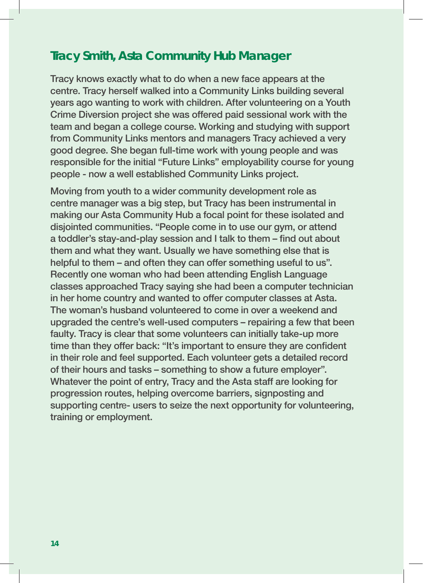#### **Tracy Smith, Asta Community Hub Manager**

Tracy knows exactly what to do when a new face appears at the centre. Tracy herself walked into a Community Links building several years ago wanting to work with children. After volunteering on a Youth Crime Diversion project she was offered paid sessional work with the team and began a college course. Working and studying with support from Community Links mentors and managers Tracy achieved a very good degree. She began full-time work with young people and was responsible for the initial "Future Links" employability course for young people - now a well established Community Links project.

Moving from youth to a wider community development role as centre manager was a big step, but Tracy has been instrumental in making our Asta Community Hub a focal point for these isolated and disjointed communities. "People come in to use our gym, or attend a toddler's stay-and-play session and I talk to them – find out about them and what they want. Usually we have something else that is helpful to them – and often they can offer something useful to us". Recently one woman who had been attending English Language classes approached Tracy saying she had been a computer technician in her home country and wanted to offer computer classes at Asta. The woman's husband volunteered to come in over a weekend and upgraded the centre's well-used computers – repairing a few that been faulty. Tracy is clear that some volunteers can initially take-up more time than they offer back: "It's important to ensure they are confident in their role and feel supported. Each volunteer gets a detailed record of their hours and tasks – something to show a future employer". Whatever the point of entry, Tracy and the Asta staff are looking for progression routes, helping overcome barriers, signposting and supporting centre- users to seize the next opportunity for volunteering, training or employment.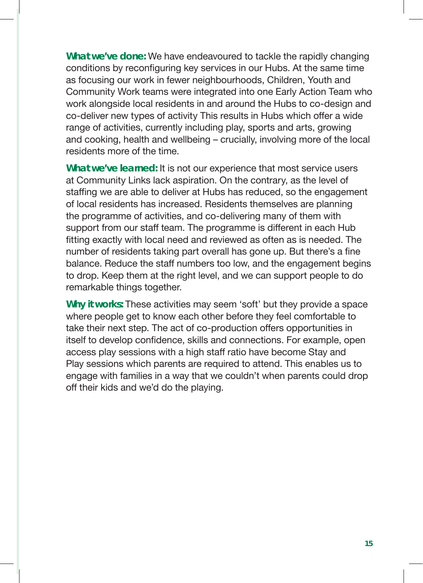**What we've done:** We have endeavoured to tackle the rapidly changing conditions by reconfiguring key services in our Hubs. At the same time as focusing our work in fewer neighbourhoods, Children, Youth and Community Work teams were integrated into one Early Action Team who work alongside local residents in and around the Hubs to co-design and co-deliver new types of activity This results in Hubs which offer a wide range of activities, currently including play, sports and arts, growing and cooking, health and wellbeing – crucially, involving more of the local residents more of the time.

**What we've learned:** It is not our experience that most service users at Community Links lack aspiration. On the contrary, as the level of staffing we are able to deliver at Hubs has reduced, so the engagement of local residents has increased. Residents themselves are planning the programme of activities, and co-delivering many of them with support from our staff team. The programme is different in each Hub fitting exactly with local need and reviewed as often as is needed. The number of residents taking part overall has gone up. But there's a fine balance. Reduce the staff numbers too low, and the engagement begins to drop. Keep them at the right level, and we can support people to do remarkable things together.

**Why it works:** These activities may seem 'soft' but they provide a space where people get to know each other before they feel comfortable to take their next step. The act of co-production offers opportunities in itself to develop confidence, skills and connections. For example, open access play sessions with a high staff ratio have become Stay and Play sessions which parents are required to attend. This enables us to engage with families in a way that we couldn't when parents could drop off their kids and we'd do the playing.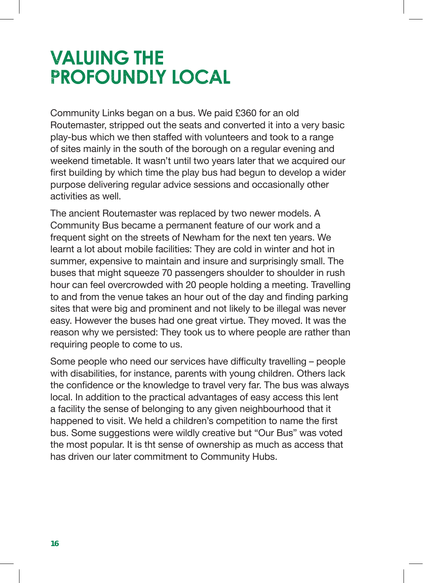## **VALUING THE PROFOUNDLY LOCAL**

Community Links began on a bus. We paid £360 for an old Routemaster, stripped out the seats and converted it into a very basic play-bus which we then staffed with volunteers and took to a range of sites mainly in the south of the borough on a regular evening and weekend timetable. It wasn't until two years later that we acquired our first building by which time the play bus had begun to develop a wider purpose delivering regular advice sessions and occasionally other activities as well.

The ancient Routemaster was replaced by two newer models. A Community Bus became a permanent feature of our work and a frequent sight on the streets of Newham for the next ten years. We learnt a lot about mobile facilities: They are cold in winter and hot in summer, expensive to maintain and insure and surprisingly small. The buses that might squeeze 70 passengers shoulder to shoulder in rush hour can feel overcrowded with 20 people holding a meeting. Travelling to and from the venue takes an hour out of the day and finding parking sites that were big and prominent and not likely to be illegal was never easy. However the buses had one great virtue. They moved. It was the reason why we persisted: They took us to where people are rather than requiring people to come to us.

Some people who need our services have difficulty travelling – people with disabilities, for instance, parents with young children. Others lack the confidence or the knowledge to travel very far. The bus was always local. In addition to the practical advantages of easy access this lent a facility the sense of belonging to any given neighbourhood that it happened to visit. We held a children's competition to name the first bus. Some suggestions were wildly creative but "Our Bus" was voted the most popular. It is tht sense of ownership as much as access that has driven our later commitment to Community Hubs.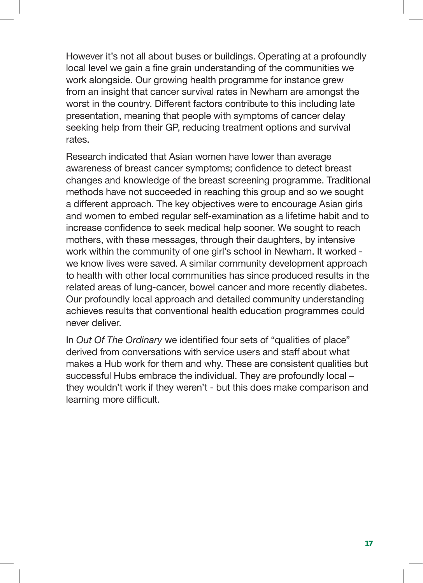However it's not all about buses or buildings. Operating at a profoundly local level we gain a fine grain understanding of the communities we work alongside. Our growing health programme for instance grew from an insight that cancer survival rates in Newham are amongst the worst in the country. Different factors contribute to this including late presentation, meaning that people with symptoms of cancer delay seeking help from their GP, reducing treatment options and survival rates.

Research indicated that Asian women have lower than average awareness of breast cancer symptoms; confidence to detect breast changes and knowledge of the breast screening programme. Traditional methods have not succeeded in reaching this group and so we sought a different approach. The key objectives were to encourage Asian girls and women to embed regular self-examination as a lifetime habit and to increase confidence to seek medical help sooner. We sought to reach mothers, with these messages, through their daughters, by intensive work within the community of one girl's school in Newham. It worked we know lives were saved. A similar community development approach to health with other local communities has since produced results in the related areas of lung-cancer, bowel cancer and more recently diabetes. Our profoundly local approach and detailed community understanding achieves results that conventional health education programmes could never deliver.

In *Out Of The Ordinary* we identified four sets of "qualities of place" derived from conversations with service users and staff about what makes a Hub work for them and why. These are consistent qualities but successful Hubs embrace the individual. They are profoundly local – they wouldn't work if they weren't - but this does make comparison and learning more difficult.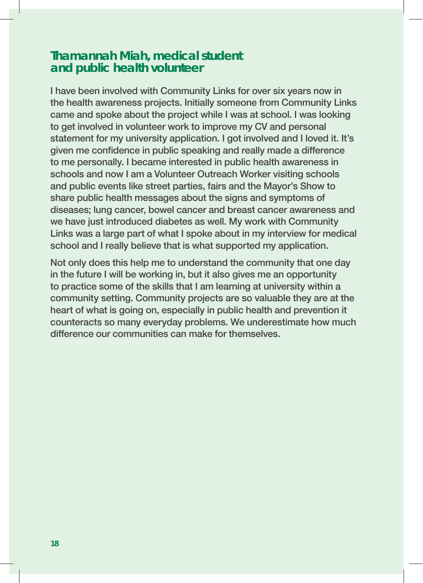#### **Thamannah Miah, medical student and public health volunteer**

I have been involved with Community Links for over six years now in the health awareness projects. Initially someone from Community Links came and spoke about the project while I was at school. I was looking to get involved in volunteer work to improve my CV and personal statement for my university application. I got involved and I loved it. It's given me confidence in public speaking and really made a difference to me personally. I became interested in public health awareness in schools and now I am a Volunteer Outreach Worker visiting schools and public events like street parties, fairs and the Mayor's Show to share public health messages about the signs and symptoms of diseases; lung cancer, bowel cancer and breast cancer awareness and we have just introduced diabetes as well. My work with Community Links was a large part of what I spoke about in my interview for medical school and I really believe that is what supported my application.

Not only does this help me to understand the community that one day in the future I will be working in, but it also gives me an opportunity to practice some of the skills that I am learning at university within a community setting. Community projects are so valuable they are at the heart of what is going on, especially in public health and prevention it counteracts so many everyday problems. We underestimate how much difference our communities can make for themselves.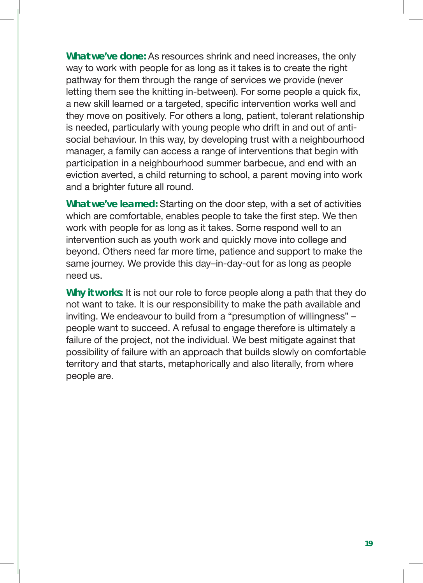**What we've done:** As resources shrink and need increases, the only way to work with people for as long as it takes is to create the right pathway for them through the range of services we provide (never letting them see the knitting in-between). For some people a quick fix, a new skill learned or a targeted, specific intervention works well and they move on positively. For others a long, patient, tolerant relationship is needed, particularly with young people who drift in and out of antisocial behaviour. In this way, by developing trust with a neighbourhood manager, a family can access a range of interventions that begin with participation in a neighbourhood summer barbecue, and end with an eviction averted, a child returning to school, a parent moving into work and a brighter future all round.

**What we've learned:** Starting on the door step, with a set of activities which are comfortable, enables people to take the first step. We then work with people for as long as it takes. Some respond well to an intervention such as youth work and quickly move into college and beyond. Others need far more time, patience and support to make the same journey. We provide this day–in-day-out for as long as people need us.

**Why it works:** It is not our role to force people along a path that they do not want to take. It is our responsibility to make the path available and inviting. We endeavour to build from a "presumption of willingness" – people want to succeed. A refusal to engage therefore is ultimately a failure of the project, not the individual. We best mitigate against that possibility of failure with an approach that builds slowly on comfortable territory and that starts, metaphorically and also literally, from where people are.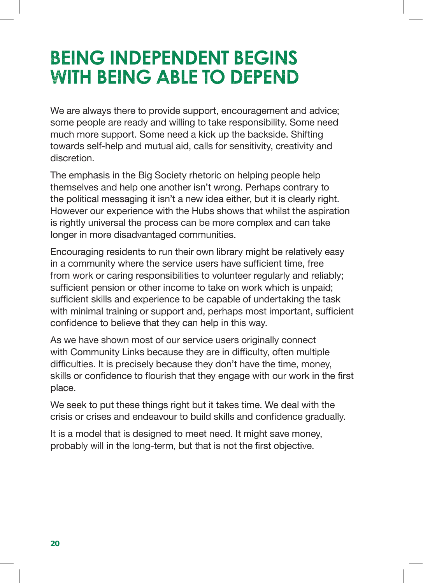## **BEING INDEPENDENT BEGINS WITH BEING ABLE TO DEPEND**

We are always there to provide support, encouragement and advice; some people are ready and willing to take responsibility. Some need much more support. Some need a kick up the backside. Shifting towards self-help and mutual aid, calls for sensitivity, creativity and discretion.

The emphasis in the Big Society rhetoric on helping people help themselves and help one another isn't wrong. Perhaps contrary to the political messaging it isn't a new idea either, but it is clearly right. However our experience with the Hubs shows that whilst the aspiration is rightly universal the process can be more complex and can take longer in more disadvantaged communities.

Encouraging residents to run their own library might be relatively easy in a community where the service users have sufficient time, free from work or caring responsibilities to volunteer regularly and reliably; sufficient pension or other income to take on work which is unpaid; sufficient skills and experience to be capable of undertaking the task with minimal training or support and, perhaps most important, sufficient confidence to believe that they can help in this way.

As we have shown most of our service users originally connect with Community Links because they are in difficulty, often multiple difficulties. It is precisely because they don't have the time, money, skills or confidence to flourish that they engage with our work in the first place.

We seek to put these things right but it takes time. We deal with the crisis or crises and endeavour to build skills and confidence gradually.

It is a model that is designed to meet need. It might save money, probably will in the long-term, but that is not the first objective.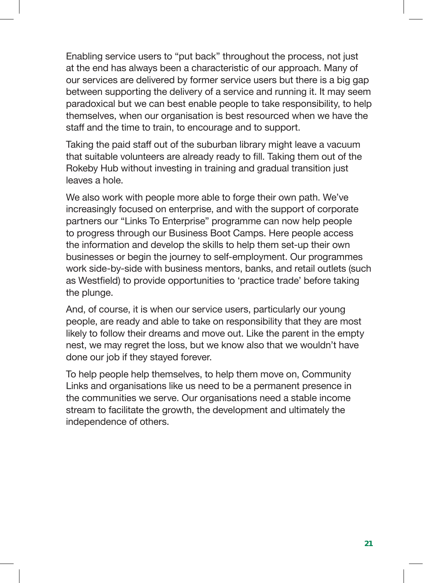Enabling service users to "put back" throughout the process, not just at the end has always been a characteristic of our approach. Many of our services are delivered by former service users but there is a big gap between supporting the delivery of a service and running it. It may seem paradoxical but we can best enable people to take responsibility, to help themselves, when our organisation is best resourced when we have the staff and the time to train, to encourage and to support.

Taking the paid staff out of the suburban library might leave a vacuum that suitable volunteers are already ready to fill. Taking them out of the Rokeby Hub without investing in training and gradual transition just leaves a hole.

We also work with people more able to forge their own path. We've increasingly focused on enterprise, and with the support of corporate partners our "Links To Enterprise" programme can now help people to progress through our Business Boot Camps. Here people access the information and develop the skills to help them set-up their own businesses or begin the journey to self-employment. Our programmes work side-by-side with business mentors, banks, and retail outlets (such as Westfield) to provide opportunities to 'practice trade' before taking the plunge.

And, of course, it is when our service users, particularly our young people, are ready and able to take on responsibility that they are most likely to follow their dreams and move out. Like the parent in the empty nest, we may regret the loss, but we know also that we wouldn't have done our job if they stayed forever.

To help people help themselves, to help them move on, Community Links and organisations like us need to be a permanent presence in the communities we serve. Our organisations need a stable income stream to facilitate the growth, the development and ultimately the independence of others.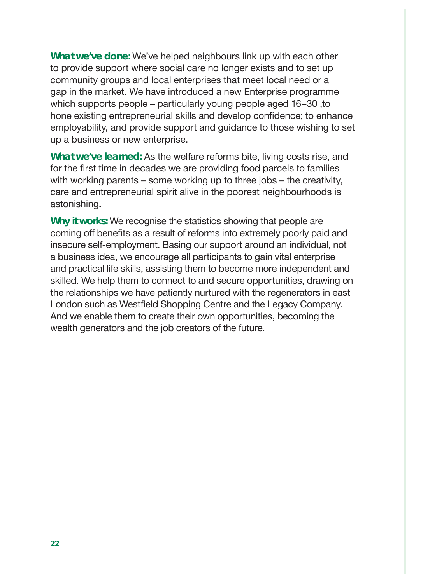**What we've done:** We've helped neighbours link up with each other to provide support where social care no longer exists and to set up community groups and local enterprises that meet local need or a gap in the market. We have introduced a new Enterprise programme which supports people – particularly young people aged 16–30 ,to hone existing entrepreneurial skills and develop confidence; to enhance employability, and provide support and guidance to those wishing to set up a business or new enterprise.

**What we've learned:** As the welfare reforms bite, living costs rise, and for the first time in decades we are providing food parcels to families with working parents – some working up to three jobs – the creativity, care and entrepreneurial spirit alive in the poorest neighbourhoods is astonishing**.** 

**Why it works:** We recognise the statistics showing that people are coming off benefits as a result of reforms into extremely poorly paid and insecure self-employment. Basing our support around an individual, not a business idea, we encourage all participants to gain vital enterprise and practical life skills, assisting them to become more independent and skilled. We help them to connect to and secure opportunities, drawing on the relationships we have patiently nurtured with the regenerators in east London such as Westfield Shopping Centre and the Legacy Company. And we enable them to create their own opportunities, becoming the wealth generators and the job creators of the future.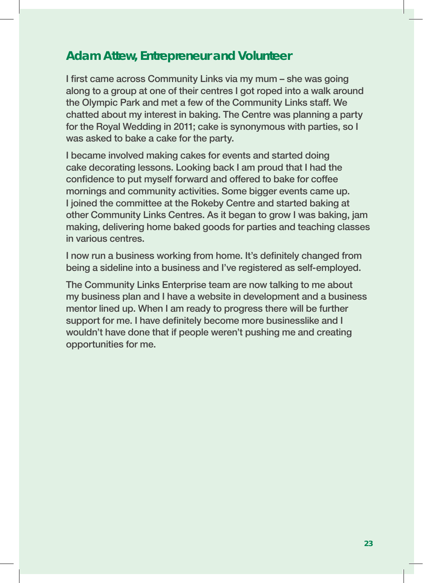#### **Adam Attew, Entrepreneur and Volunteer**

I first came across Community Links via my mum – she was going along to a group at one of their centres I got roped into a walk around the Olympic Park and met a few of the Community Links staff. We chatted about my interest in baking. The Centre was planning a party for the Royal Wedding in 2011; cake is synonymous with parties, so I was asked to bake a cake for the party.

I became involved making cakes for events and started doing cake decorating lessons. Looking back I am proud that I had the confidence to put myself forward and offered to bake for coffee mornings and community activities. Some bigger events came up. I joined the committee at the Rokeby Centre and started baking at other Community Links Centres. As it began to grow I was baking, jam making, delivering home baked goods for parties and teaching classes in various centres.

I now run a business working from home. It's definitely changed from being a sideline into a business and I've registered as self-employed.

The Community Links Enterprise team are now talking to me about my business plan and I have a website in development and a business mentor lined up. When I am ready to progress there will be further support for me. I have definitely become more businesslike and I wouldn't have done that if people weren't pushing me and creating opportunities for me.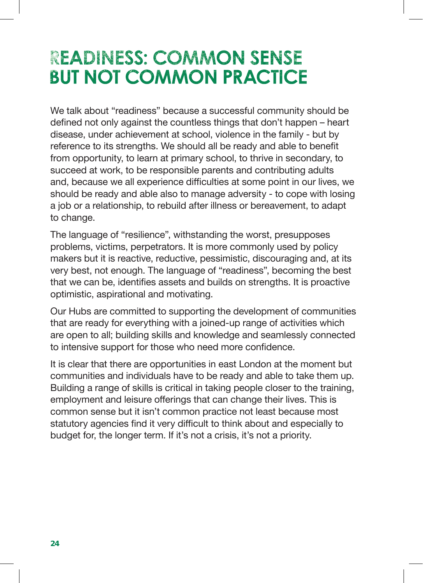## **READINESS: COMMON SENSE BUT NOT COMMON PRACTICE**

We talk about "readiness" because a successful community should be defined not only against the countless things that don't happen – heart disease, under achievement at school, violence in the family - but by reference to its strengths. We should all be ready and able to benefit from opportunity, to learn at primary school, to thrive in secondary, to succeed at work, to be responsible parents and contributing adults and, because we all experience difficulties at some point in our lives, we should be ready and able also to manage adversity - to cope with losing a job or a relationship, to rebuild after illness or bereavement, to adapt to change.

The language of "resilience", withstanding the worst, presupposes problems, victims, perpetrators. It is more commonly used by policy makers but it is reactive, reductive, pessimistic, discouraging and, at its very best, not enough. The language of "readiness", becoming the best that we can be, identifies assets and builds on strengths. It is proactive optimistic, aspirational and motivating.

Our Hubs are committed to supporting the development of communities that are ready for everything with a joined-up range of activities which are open to all; building skills and knowledge and seamlessly connected to intensive support for those who need more confidence.

It is clear that there are opportunities in east London at the moment but communities and individuals have to be ready and able to take them up. Building a range of skills is critical in taking people closer to the training, employment and leisure offerings that can change their lives. This is common sense but it isn't common practice not least because most statutory agencies find it very difficult to think about and especially to budget for, the longer term. If it's not a crisis, it's not a priority.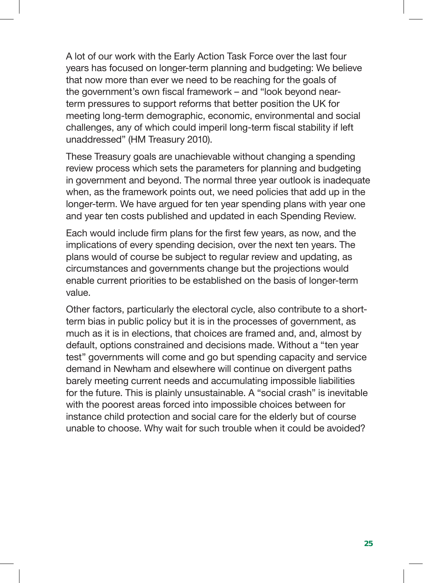A lot of our work with the Early Action Task Force over the last four years has focused on longer-term planning and budgeting: We believe that now more than ever we need to be reaching for the goals of the government's own fiscal framework – and "look beyond nearterm pressures to support reforms that better position the UK for meeting long-term demographic, economic, environmental and social challenges, any of which could imperil long-term fiscal stability if left unaddressed" (HM Treasury 2010).

These Treasury goals are unachievable without changing a spending review process which sets the parameters for planning and budgeting in government and beyond. The normal three year outlook is inadequate when, as the framework points out, we need policies that add up in the longer-term. We have argued for ten year spending plans with year one and year ten costs published and updated in each Spending Review.

Each would include firm plans for the first few years, as now, and the implications of every spending decision, over the next ten years. The plans would of course be subject to regular review and updating, as circumstances and governments change but the projections would enable current priorities to be established on the basis of longer-term value.

Other factors, particularly the electoral cycle, also contribute to a shortterm bias in public policy but it is in the processes of government, as much as it is in elections, that choices are framed and, and, almost by default, options constrained and decisions made. Without a "ten year test" governments will come and go but spending capacity and service demand in Newham and elsewhere will continue on divergent paths barely meeting current needs and accumulating impossible liabilities for the future. This is plainly unsustainable. A "social crash" is inevitable with the poorest areas forced into impossible choices between for instance child protection and social care for the elderly but of course unable to choose. Why wait for such trouble when it could be avoided?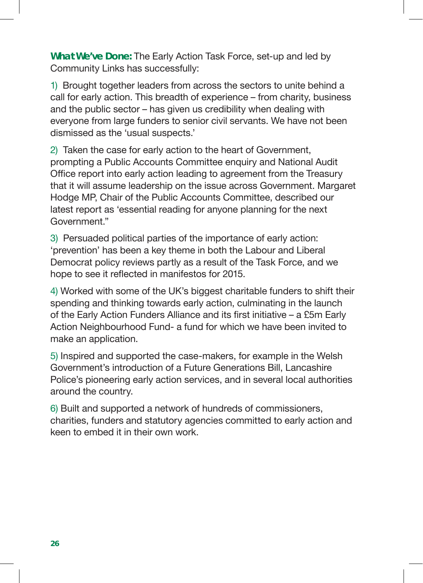**What We've Done:** The Early Action Task Force, set-up and led by Community Links has successfully:

1) Brought together leaders from across the sectors to unite behind a call for early action. This breadth of experience – from charity, business and the public sector – has given us credibility when dealing with everyone from large funders to senior civil servants. We have not been dismissed as the 'usual suspects.'

2) Taken the case for early action to the heart of Government, prompting a Public Accounts Committee enquiry and National Audit Office report into early action leading to agreement from the Treasury that it will assume leadership on the issue across Government. Margaret Hodge MP, Chair of the Public Accounts Committee, described our latest report as 'essential reading for anyone planning for the next Government."

3) Persuaded political parties of the importance of early action: 'prevention' has been a key theme in both the Labour and Liberal Democrat policy reviews partly as a result of the Task Force, and we hope to see it reflected in manifestos for 2015.

4) Worked with some of the UK's biggest charitable funders to shift their spending and thinking towards early action, culminating in the launch of the Early Action Funders Alliance and its first initiative – a £5m Early Action Neighbourhood Fund- a fund for which we have been invited to make an application.

5) Inspired and supported the case-makers, for example in the Welsh Government's introduction of a Future Generations Bill, Lancashire Police's pioneering early action services, and in several local authorities around the country.

6) Built and supported a network of hundreds of commissioners, charities, funders and statutory agencies committed to early action and keen to embed it in their own work.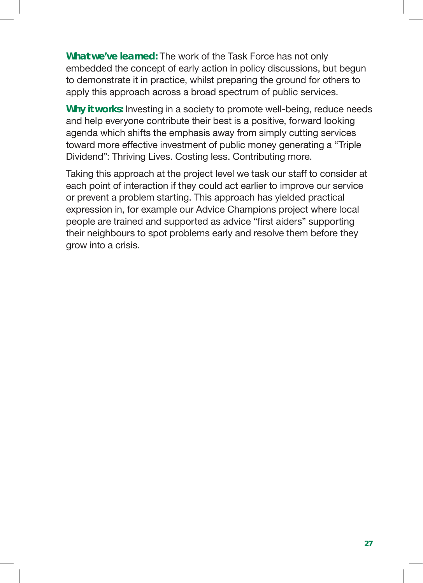**What we've learned:** The work of the Task Force has not only embedded the concept of early action in policy discussions, but begun to demonstrate it in practice, whilst preparing the ground for others to apply this approach across a broad spectrum of public services.

**Why it works:** Investing in a society to promote well-being, reduce needs and help everyone contribute their best is a positive, forward looking agenda which shifts the emphasis away from simply cutting services toward more effective investment of public money generating a "Triple Dividend": Thriving Lives. Costing less. Contributing more.

Taking this approach at the project level we task our staff to consider at each point of interaction if they could act earlier to improve our service or prevent a problem starting. This approach has yielded practical expression in, for example our Advice Champions project where local people are trained and supported as advice "first aiders" supporting their neighbours to spot problems early and resolve them before they grow into a crisis.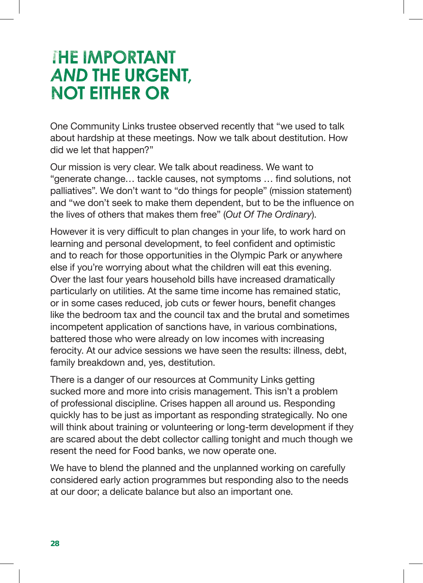## **THE IMPORTANT AND THE URGENT, NOT EITHER OR**

One Community Links trustee observed recently that "we used to talk about hardship at these meetings. Now we talk about destitution. How did we let that happen?"

Our mission is very clear. We talk about readiness. We want to "generate change… tackle causes, not symptoms … find solutions, not palliatives". We don't want to "do things for people" (mission statement) and "we don't seek to make them dependent, but to be the influence on the lives of others that makes them free" (*Out Of The Ordinary*).

However it is very difficult to plan changes in your life, to work hard on learning and personal development, to feel confident and optimistic and to reach for those opportunities in the Olympic Park or anywhere else if you're worrying about what the children will eat this evening. Over the last four years household bills have increased dramatically particularly on utilities. At the same time income has remained static, or in some cases reduced, job cuts or fewer hours, benefit changes like the bedroom tax and the council tax and the brutal and sometimes incompetent application of sanctions have, in various combinations, battered those who were already on low incomes with increasing ferocity. At our advice sessions we have seen the results: illness, debt, family breakdown and, yes, destitution.

There is a danger of our resources at Community Links getting sucked more and more into crisis management. This isn't a problem of professional discipline. Crises happen all around us. Responding quickly has to be just as important as responding strategically. No one will think about training or volunteering or long-term development if they are scared about the debt collector calling tonight and much though we resent the need for Food banks, we now operate one.

We have to blend the planned and the unplanned working on carefully considered early action programmes but responding also to the needs at our door; a delicate balance but also an important one.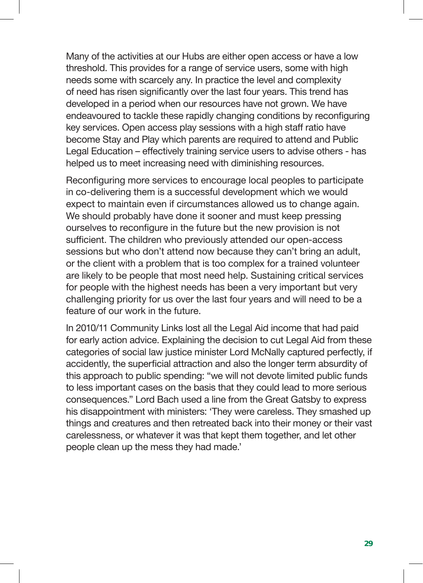Many of the activities at our Hubs are either open access or have a low threshold. This provides for a range of service users, some with high needs some with scarcely any. In practice the level and complexity of need has risen significantly over the last four years. This trend has developed in a period when our resources have not grown. We have endeavoured to tackle these rapidly changing conditions by reconfiguring key services. Open access play sessions with a high staff ratio have become Stay and Play which parents are required to attend and Public Legal Education – effectively training service users to advise others - has helped us to meet increasing need with diminishing resources.

Reconfiguring more services to encourage local peoples to participate in co-delivering them is a successful development which we would expect to maintain even if circumstances allowed us to change again. We should probably have done it sooner and must keep pressing ourselves to reconfigure in the future but the new provision is not sufficient. The children who previously attended our open-access sessions but who don't attend now because they can't bring an adult, or the client with a problem that is too complex for a trained volunteer are likely to be people that most need help. Sustaining critical services for people with the highest needs has been a very important but very challenging priority for us over the last four years and will need to be a feature of our work in the future.

In 2010/11 Community Links lost all the Legal Aid income that had paid for early action advice. Explaining the decision to cut Legal Aid from these categories of social law justice minister Lord McNally captured perfectly, if accidently, the superficial attraction and also the longer term absurdity of this approach to public spending: "we will not devote limited public funds to less important cases on the basis that they could lead to more serious consequences." Lord Bach used a line from the Great Gatsby to express his disappointment with ministers: 'They were careless. They smashed up things and creatures and then retreated back into their money or their vast carelessness, or whatever it was that kept them together, and let other people clean up the mess they had made.'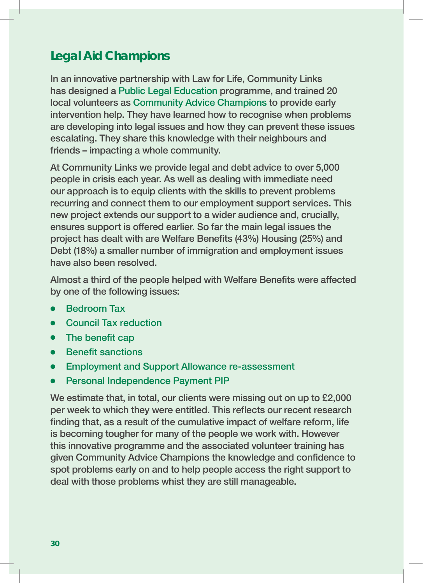## **Legal Aid Champions**

In an innovative partnership with Law for Life, Community Links has designed a Public Legal Education programme, and trained 20 local volunteers as Community Advice Champions to provide early intervention help. They have learned how to recognise when problems are developing into legal issues and how they can prevent these issues escalating. They share this knowledge with their neighbours and friends – impacting a whole community.

At Community Links we provide legal and debt advice to over 5,000 people in crisis each year. As well as dealing with immediate need our approach is to equip clients with the skills to prevent problems recurring and connect them to our employment support services. This new project extends our support to a wider audience and, crucially, ensures support is offered earlier. So far the main legal issues the project has dealt with are Welfare Benefits (43%) Housing (25%) and Debt (18%) a smaller number of immigration and employment issues have also been resolved.

Almost a third of the people helped with Welfare Benefits were affected by one of the following issues:

- **•** Bedroom Tax
- **•** Council Tax reduction
- $\bullet$  The benefit cap
- **•** Benefit sanctions
- **Employment and Support Allowance re-assessment**
- Personal Independence Payment PIP

We estimate that, in total, our clients were missing out on up to £2,000 per week to which they were entitled. This reflects our recent research finding that, as a result of the cumulative impact of welfare reform, life is becoming tougher for many of the people we work with. However this innovative programme and the associated volunteer training has given Community Advice Champions the knowledge and confidence to spot problems early on and to help people access the right support to deal with those problems whist they are still manageable.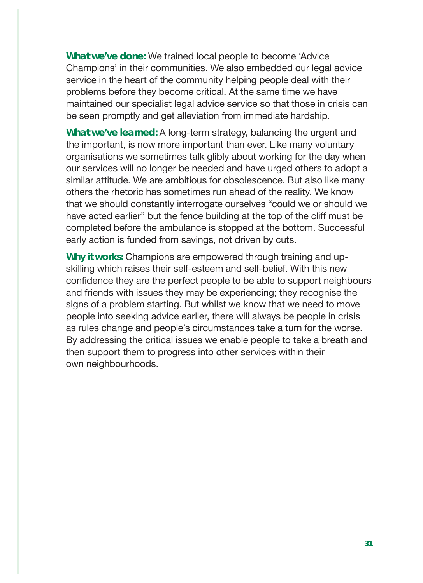**What we've done:** We trained local people to become 'Advice Champions' in their communities. We also embedded our legal advice service in the heart of the community helping people deal with their problems before they become critical. At the same time we have maintained our specialist legal advice service so that those in crisis can be seen promptly and get alleviation from immediate hardship.

**What we've learned:** A long-term strategy, balancing the urgent and the important, is now more important than ever. Like many voluntary organisations we sometimes talk glibly about working for the day when our services will no longer be needed and have urged others to adopt a similar attitude. We are ambitious for obsolescence. But also like many others the rhetoric has sometimes run ahead of the reality. We know that we should constantly interrogate ourselves "could we or should we have acted earlier" but the fence building at the top of the cliff must be completed before the ambulance is stopped at the bottom. Successful early action is funded from savings, not driven by cuts.

**Why it works:** Champions are empowered through training and upskilling which raises their self-esteem and self-belief. With this new confidence they are the perfect people to be able to support neighbours and friends with issues they may be experiencing; they recognise the signs of a problem starting. But whilst we know that we need to move people into seeking advice earlier, there will always be people in crisis as rules change and people's circumstances take a turn for the worse. By addressing the critical issues we enable people to take a breath and then support them to progress into other services within their own neighbourhoods.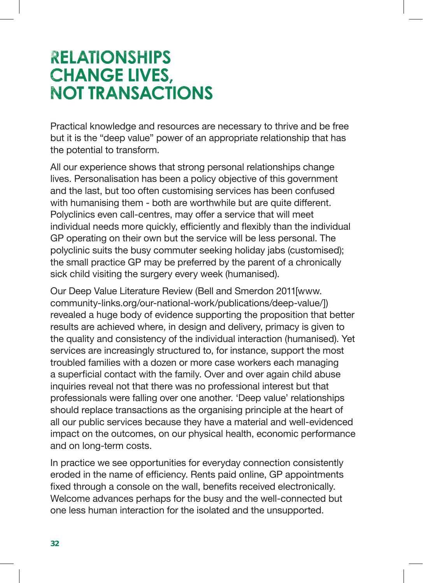## **RELATIONSHIPS CHANGE LIVES, NOT TRANSACTIONS**

Practical knowledge and resources are necessary to thrive and be free but it is the "deep value" power of an appropriate relationship that has the potential to transform.

All our experience shows that strong personal relationships change lives. Personalisation has been a policy objective of this government and the last, but too often customising services has been confused with humanising them - both are worthwhile but are quite different. Polyclinics even call-centres, may offer a service that will meet individual needs more quickly, efficiently and flexibly than the individual GP operating on their own but the service will be less personal. The polyclinic suits the busy commuter seeking holiday jabs (customised); the small practice GP may be preferred by the parent of a chronically sick child visiting the surgery every week (humanised).

Our Deep Value Literature Review (Bell and Smerdon 2011[www. community-links.org/our-national-work/publications/deep-value/]) revealed a huge body of evidence supporting the proposition that better results are achieved where, in design and delivery, primacy is given to the quality and consistency of the individual interaction (humanised). Yet services are increasingly structured to, for instance, support the most troubled families with a dozen or more case workers each managing a superficial contact with the family. Over and over again child abuse inquiries reveal not that there was no professional interest but that professionals were falling over one another. 'Deep value' relationships should replace transactions as the organising principle at the heart of all our public services because they have a material and well-evidenced impact on the outcomes, on our physical health, economic performance and on long-term costs.

In practice we see opportunities for everyday connection consistently eroded in the name of efficiency. Rents paid online, GP appointments fixed through a console on the wall, benefits received electronically. Welcome advances perhaps for the busy and the well-connected but one less human interaction for the isolated and the unsupported.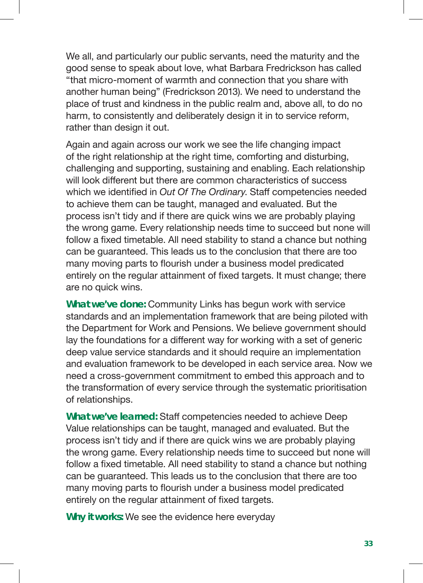We all, and particularly our public servants, need the maturity and the good sense to speak about love, what Barbara Fredrickson has called "that micro-moment of warmth and connection that you share with another human being" (Fredrickson 2013). We need to understand the place of trust and kindness in the public realm and, above all, to do no harm, to consistently and deliberately design it in to service reform, rather than design it out.

Again and again across our work we see the life changing impact of the right relationship at the right time, comforting and disturbing, challenging and supporting, sustaining and enabling. Each relationship will look different but there are common characteristics of success which we identified in *Out Of The Ordinary*. Staff competencies needed to achieve them can be taught, managed and evaluated. But the process isn't tidy and if there are quick wins we are probably playing the wrong game. Every relationship needs time to succeed but none will follow a fixed timetable. All need stability to stand a chance but nothing can be guaranteed. This leads us to the conclusion that there are too many moving parts to flourish under a business model predicated entirely on the regular attainment of fixed targets. It must change; there are no quick wins.

**What we've done:** Community Links has begun work with service standards and an implementation framework that are being piloted with the Department for Work and Pensions. We believe government should lay the foundations for a different way for working with a set of generic deep value service standards and it should require an implementation and evaluation framework to be developed in each service area. Now we need a cross-government commitment to embed this approach and to the transformation of every service through the systematic prioritisation of relationships.

**What we've learned:** Staff competencies needed to achieve Deep Value relationships can be taught, managed and evaluated. But the process isn't tidy and if there are quick wins we are probably playing the wrong game. Every relationship needs time to succeed but none will follow a fixed timetable. All need stability to stand a chance but nothing can be guaranteed. This leads us to the conclusion that there are too many moving parts to flourish under a business model predicated entirely on the regular attainment of fixed targets.

**Why it works:** We see the evidence here everyday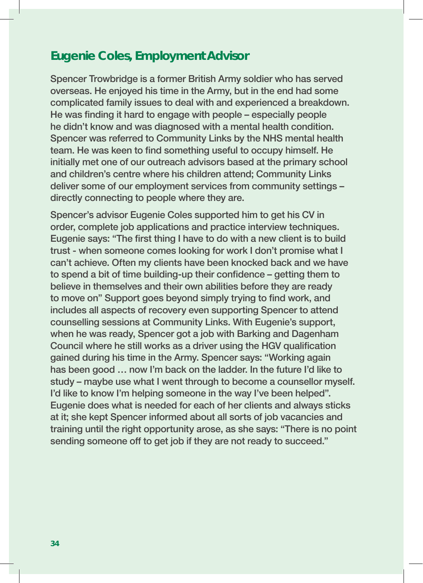#### **Eugenie Coles, Employment Advisor**

Spencer Trowbridge is a former British Army soldier who has served overseas. He enjoyed his time in the Army, but in the end had some complicated family issues to deal with and experienced a breakdown. He was finding it hard to engage with people – especially people he didn't know and was diagnosed with a mental health condition. Spencer was referred to Community Links by the NHS mental health team. He was keen to find something useful to occupy himself. He initially met one of our outreach advisors based at the primary school and children's centre where his children attend; Community Links deliver some of our employment services from community settings – directly connecting to people where they are.

Spencer's advisor Eugenie Coles supported him to get his CV in order, complete job applications and practice interview techniques. Eugenie says: "The first thing I have to do with a new client is to build trust - when someone comes looking for work I don't promise what I can't achieve. Often my clients have been knocked back and we have to spend a bit of time building-up their confidence – getting them to believe in themselves and their own abilities before they are ready to move on" Support goes beyond simply trying to find work, and includes all aspects of recovery even supporting Spencer to attend counselling sessions at Community Links. With Eugenie's support, when he was ready. Spencer got a job with Barking and Dagenham Council where he still works as a driver using the HGV qualification gained during his time in the Army. Spencer says: "Working again has been good … now I'm back on the ladder. In the future I'd like to study – maybe use what I went through to become a counsellor myself. I'd like to know I'm helping someone in the way I've been helped". Eugenie does what is needed for each of her clients and always sticks at it; she kept Spencer informed about all sorts of job vacancies and training until the right opportunity arose, as she says: "There is no point sending someone off to get job if they are not ready to succeed."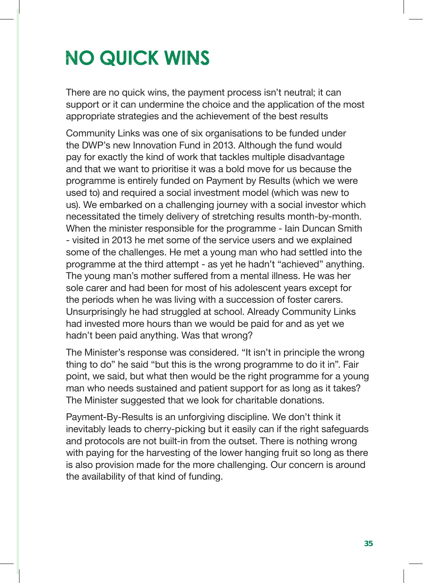# **NO QUICK WINS**

There are no quick wins, the payment process isn't neutral; it can support or it can undermine the choice and the application of the most appropriate strategies and the achievement of the best results

Community Links was one of six organisations to be funded under the DWP's new Innovation Fund in 2013. Although the fund would pay for exactly the kind of work that tackles multiple disadvantage and that we want to prioritise it was a bold move for us because the programme is entirely funded on Payment by Results (which we were used to) and required a social investment model (which was new to us). We embarked on a challenging journey with a social investor which necessitated the timely delivery of stretching results month-by-month. When the minister responsible for the programme - Iain Duncan Smith - visited in 2013 he met some of the service users and we explained some of the challenges. He met a young man who had settled into the programme at the third attempt - as yet he hadn't "achieved" anything. The young man's mother suffered from a mental illness. He was her sole carer and had been for most of his adolescent years except for the periods when he was living with a succession of foster carers. Unsurprisingly he had struggled at school. Already Community Links had invested more hours than we would be paid for and as yet we hadn't been paid anything. Was that wrong?

The Minister's response was considered. "It isn't in principle the wrong thing to do" he said "but this is the wrong programme to do it in". Fair point, we said, but what then would be the right programme for a young man who needs sustained and patient support for as long as it takes? The Minister suggested that we look for charitable donations.

Payment-By-Results is an unforgiving discipline. We don't think it inevitably leads to cherry-picking but it easily can if the right safeguards and protocols are not built-in from the outset. There is nothing wrong with paying for the harvesting of the lower hanging fruit so long as there is also provision made for the more challenging. Our concern is around the availability of that kind of funding.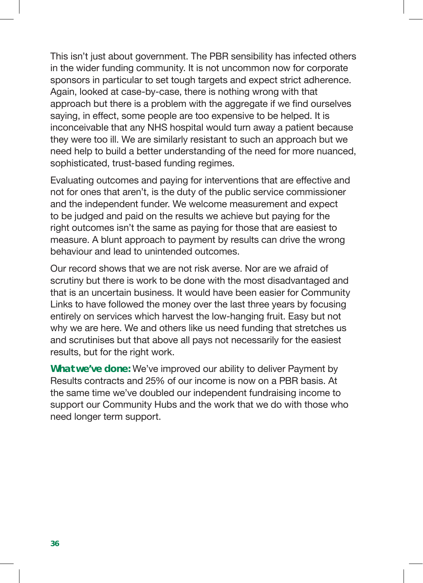This isn't just about government. The PBR sensibility has infected others in the wider funding community. It is not uncommon now for corporate sponsors in particular to set tough targets and expect strict adherence. Again, looked at case-by-case, there is nothing wrong with that approach but there is a problem with the aggregate if we find ourselves saying, in effect, some people are too expensive to be helped. It is inconceivable that any NHS hospital would turn away a patient because they were too ill. We are similarly resistant to such an approach but we need help to build a better understanding of the need for more nuanced, sophisticated, trust-based funding regimes.

Evaluating outcomes and paying for interventions that are effective and not for ones that aren't, is the duty of the public service commissioner and the independent funder. We welcome measurement and expect to be judged and paid on the results we achieve but paying for the right outcomes isn't the same as paying for those that are easiest to measure. A blunt approach to payment by results can drive the wrong behaviour and lead to unintended outcomes.

Our record shows that we are not risk averse. Nor are we afraid of scrutiny but there is work to be done with the most disadvantaged and that is an uncertain business. It would have been easier for Community Links to have followed the money over the last three years by focusing entirely on services which harvest the low-hanging fruit. Easy but not why we are here. We and others like us need funding that stretches us and scrutinises but that above all pays not necessarily for the easiest results, but for the right work.

**What we've done:** We've improved our ability to deliver Payment by Results contracts and 25% of our income is now on a PBR basis. At the same time we've doubled our independent fundraising income to support our Community Hubs and the work that we do with those who need longer term support.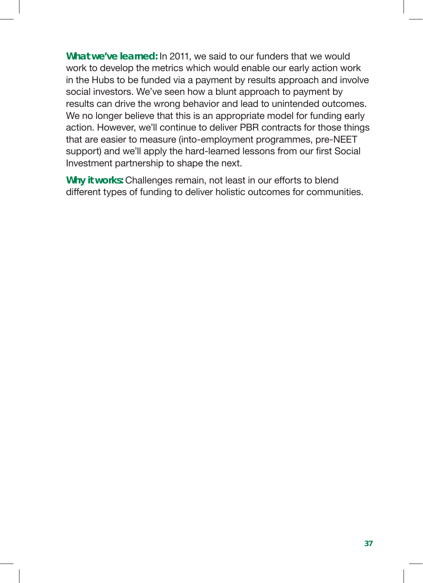**What we've learned:** In 2011, we said to our funders that we would work to develop the metrics which would enable our early action work in the Hubs to be funded via a payment by results approach and involve social investors. We've seen how a blunt approach to payment by results can drive the wrong behavior and lead to unintended outcomes. We no longer believe that this is an appropriate model for funding early action. However, we'll continue to deliver PBR contracts for those things that are easier to measure (into-employment programmes, pre-NEET support) and we'll apply the hard-learned lessons from our first Social Investment partnership to shape the next.

**Why it works:** Challenges remain, not least in our efforts to blend different types of funding to deliver holistic outcomes for communities.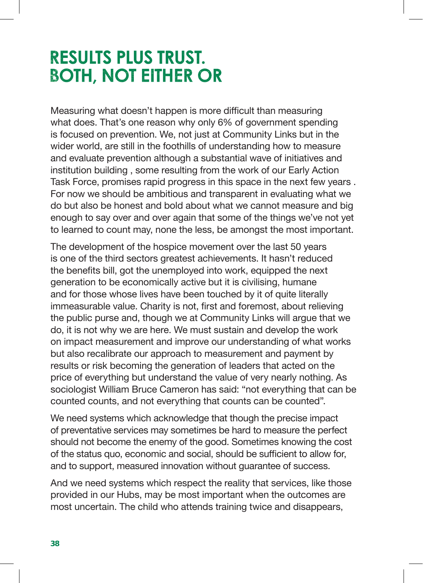## **RESULTS PLUS TRUST. BOTH, NOT EITHER OR**

Measuring what doesn't happen is more difficult than measuring what does. That's one reason why only 6% of government spending is focused on prevention. We, not just at Community Links but in the wider world, are still in the foothills of understanding how to measure and evaluate prevention although a substantial wave of initiatives and institution building , some resulting from the work of our Early Action Task Force, promises rapid progress in this space in the next few years . For now we should be ambitious and transparent in evaluating what we do but also be honest and bold about what we cannot measure and big enough to say over and over again that some of the things we've not yet to learned to count may, none the less, be amongst the most important.

The development of the hospice movement over the last 50 years is one of the third sectors greatest achievements. It hasn't reduced the benefits bill, got the unemployed into work, equipped the next generation to be economically active but it is civilising, humane and for those whose lives have been touched by it of quite literally immeasurable value. Charity is not, first and foremost, about relieving the public purse and, though we at Community Links will argue that we do, it is not why we are here. We must sustain and develop the work on impact measurement and improve our understanding of what works but also recalibrate our approach to measurement and payment by results or risk becoming the generation of leaders that acted on the price of everything but understand the value of very nearly nothing. As sociologist William Bruce Cameron has said: "not everything that can be counted counts, and not everything that counts can be counted".

We need systems which acknowledge that though the precise impact of preventative services may sometimes be hard to measure the perfect should not become the enemy of the good. Sometimes knowing the cost of the status quo, economic and social, should be sufficient to allow for, and to support, measured innovation without guarantee of success.

And we need systems which respect the reality that services, like those provided in our Hubs, may be most important when the outcomes are most uncertain. The child who attends training twice and disappears,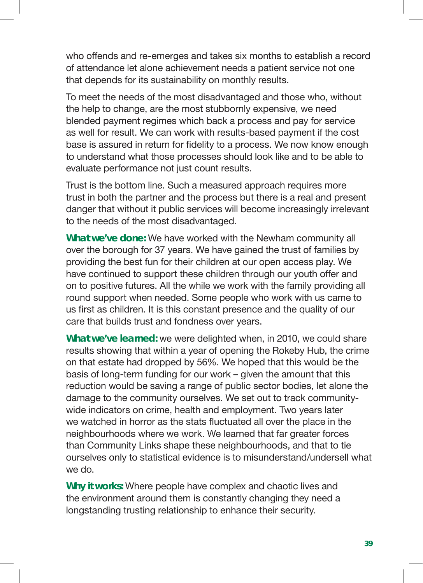who offends and re-emerges and takes six months to establish a record of attendance let alone achievement needs a patient service not one that depends for its sustainability on monthly results.

To meet the needs of the most disadvantaged and those who, without the help to change, are the most stubbornly expensive, we need blended payment regimes which back a process and pay for service as well for result. We can work with results-based payment if the cost base is assured in return for fidelity to a process. We now know enough to understand what those processes should look like and to be able to evaluate performance not just count results.

Trust is the bottom line. Such a measured approach requires more trust in both the partner and the process but there is a real and present danger that without it public services will become increasingly irrelevant to the needs of the most disadvantaged.

**What we've done:** We have worked with the Newham community all over the borough for 37 years. We have gained the trust of families by providing the best fun for their children at our open access play. We have continued to support these children through our youth offer and on to positive futures. All the while we work with the family providing all round support when needed. Some people who work with us came to us first as children. It is this constant presence and the quality of our care that builds trust and fondness over years.

**What we've learned:** we were delighted when, in 2010, we could share results showing that within a year of opening the Rokeby Hub, the crime on that estate had dropped by 56%. We hoped that this would be the basis of long-term funding for our work – given the amount that this reduction would be saving a range of public sector bodies, let alone the damage to the community ourselves. We set out to track communitywide indicators on crime, health and employment. Two years later we watched in horror as the stats fluctuated all over the place in the neighbourhoods where we work. We learned that far greater forces than Community Links shape these neighbourhoods, and that to tie ourselves only to statistical evidence is to misunderstand/undersell what we do.

**Why it works:** Where people have complex and chaotic lives and the environment around them is constantly changing they need a longstanding trusting relationship to enhance their security.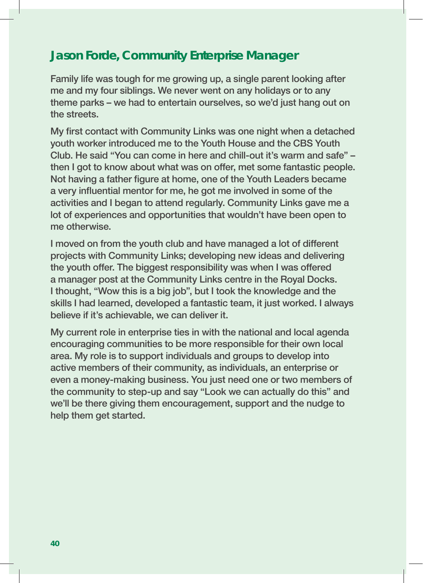#### **Jason Forde, Community Enterprise Manager**

Family life was tough for me growing up, a single parent looking after me and my four siblings. We never went on any holidays or to any theme parks – we had to entertain ourselves, so we'd just hang out on the streets.

My first contact with Community Links was one night when a detached youth worker introduced me to the Youth House and the CBS Youth Club. He said "You can come in here and chill-out it's warm and safe" – then I got to know about what was on offer, met some fantastic people. Not having a father figure at home, one of the Youth Leaders became a very influential mentor for me, he got me involved in some of the activities and I began to attend regularly. Community Links gave me a lot of experiences and opportunities that wouldn't have been open to me otherwise.

I moved on from the youth club and have managed a lot of different projects with Community Links; developing new ideas and delivering the youth offer. The biggest responsibility was when I was offered a manager post at the Community Links centre in the Royal Docks. I thought, "Wow this is a big job", but I took the knowledge and the skills I had learned, developed a fantastic team, it just worked. I always believe if it's achievable, we can deliver it.

My current role in enterprise ties in with the national and local agenda encouraging communities to be more responsible for their own local area. My role is to support individuals and groups to develop into active members of their community, as individuals, an enterprise or even a money-making business. You just need one or two members of the community to step-up and say "Look we can actually do this" and we'll be there giving them encouragement, support and the nudge to help them get started.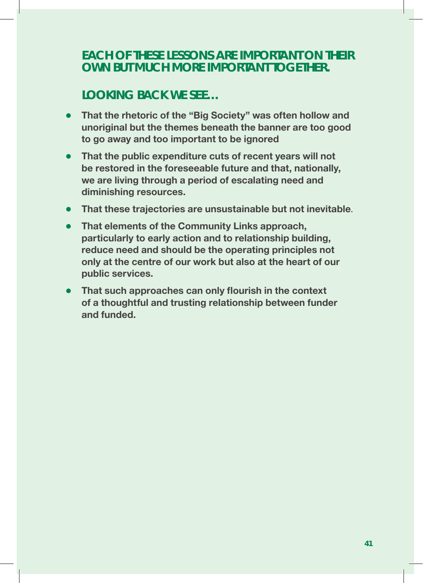#### **EACH OF THESE LESSONS ARE IMPORTANT ON THEIR OWN BUT MUCH MORE IMPORTANT TOGETHER.**

### **LOOKING BACK WE SEE…**

- <sup>l</sup> **That the rhetoric of the "Big Society" was often hollow and unoriginal but the themes beneath the banner are too good to go away and too important to be ignored**
- <sup>l</sup> **That the public expenditure cuts of recent years will not be restored in the foreseeable future and that, nationally, we are living through a period of escalating need and diminishing resources.**
- **That these trajectories are unsustainable but not inevitable.**
- **That elements of the Community Links approach, particularly to early action and to relationship building, reduce need and should be the operating principles not only at the centre of our work but also at the heart of our public services.**
- <sup>l</sup> **That such approaches can only flourish in the context of a thoughtful and trusting relationship between funder and funded.**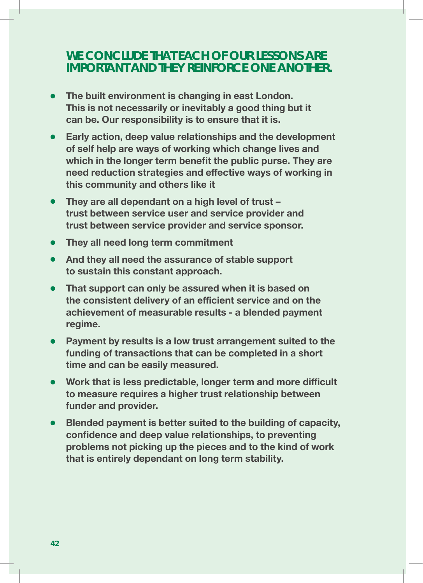#### **WE CONCLUDE THAT EACH OF OUR LESSONS ARE IMPORTANT AND THEY REINFORCE ONE ANOTHER.**

- **The built environment is changing in east London. This is not necessarily or inevitably a good thing but it can be. Our responsibility is to ensure that it is.**
- <sup>l</sup> **Early action, deep value relationships and the development of self help are ways of working which change lives and which in the longer term benefit the public purse. They are need reduction strategies and effective ways of working in this community and others like it**
- <sup>l</sup> **They are all dependant on a high level of trust trust between service user and service provider and trust between service provider and service sponsor.**
- **They all need long term commitment**
- <sup>l</sup> **And they all need the assurance of stable support to sustain this constant approach.**
- <sup>l</sup> **That support can only be assured when it is based on the consistent delivery of an efficient service and on the achievement of measurable results - a blended payment regime.**
- <sup>l</sup> **Payment by results is a low trust arrangement suited to the funding of transactions that can be completed in a short time and can be easily measured.**
- **Work that is less predictable, longer term and more difficult to measure requires a higher trust relationship between funder and provider.**
- **Blended payment is better suited to the building of capacity, confidence and deep value relationships, to preventing problems not picking up the pieces and to the kind of work that is entirely dependant on long term stability.**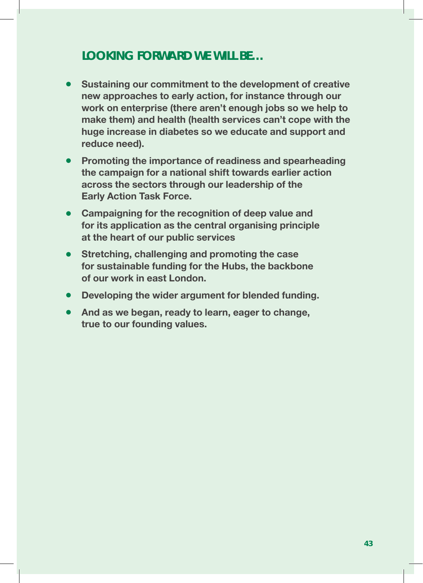#### **LOOKING FORWARD WE WILL BE…**

- **Sustaining our commitment to the development of creative new approaches to early action, for instance through our work on enterprise (there aren't enough jobs so we help to make them) and health (health services can't cope with the huge increase in diabetes so we educate and support and reduce need).**
- <sup>l</sup> **Promoting the importance of readiness and spearheading the campaign for a national shift towards earlier action across the sectors through our leadership of the Early Action Task Force.**
- **Campaigning for the recognition of deep value and for its application as the central organising principle at the heart of our public services**
- **Stretching, challenging and promoting the case for sustainable funding for the Hubs, the backbone of our work in east London.**
- **Developing the wider argument for blended funding.**
- **And as we began, ready to learn, eager to change, true to our founding values.**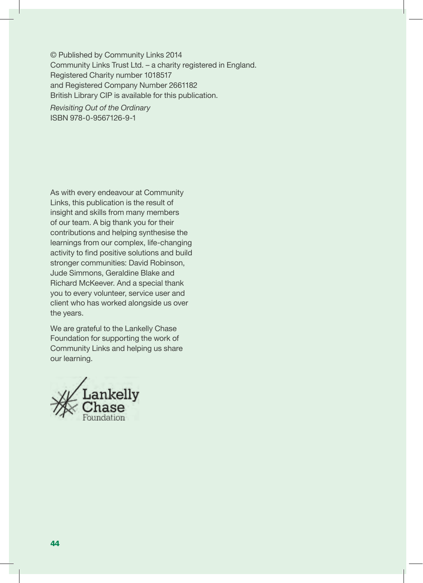© Published by Community Links 2014 Community Links Trust Ltd. – a charity registered in England. Registered Charity number 1018517 and Registered Company Number 2661182 British Library CIP is available for this publication.

*Revisiting Out of the Ordinary*  ISBN 978-0-9567126-9-1

As with every endeavour at Community Links, this publication is the result of insight and skills from many members of our team. A big thank you for their contributions and helping synthesise the learnings from our complex, life-changing activity to find positive solutions and build stronger communities: David Robinson, Jude Simmons, Geraldine Blake and Richard McKeever. And a special thank you to every volunteer, service user and client who has worked alongside us over the years.

We are grateful to the Lankelly Chase Foundation for supporting the work of Community Links and helping us share our learning.